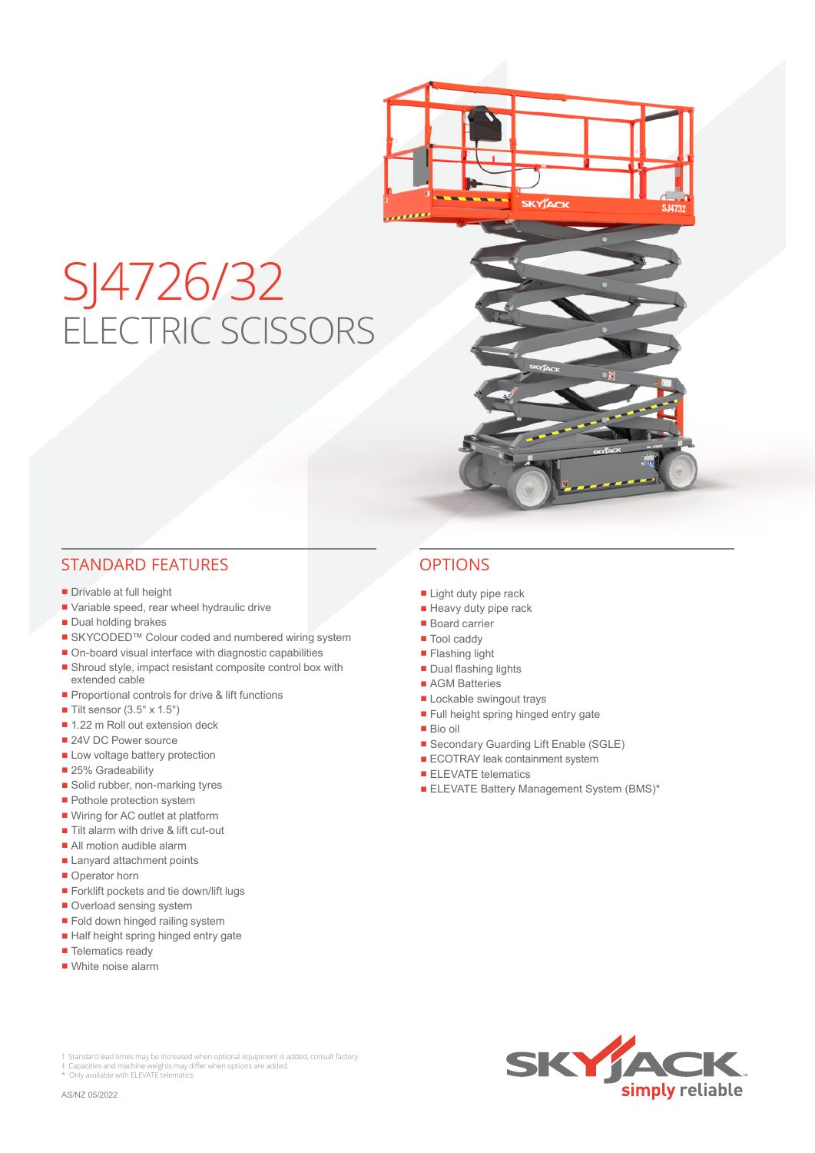

## STANDARD FEATURES OPTIONS

- Drivable at full height
- Variable speed, rear wheel hydraulic drive
- Dual holding brakes
- SKYCODED™ Colour coded and numbered wiring system
- On-board visual interface with diagnostic capabilities
- Shroud style, impact resistant composite control box with extended cable
- Proportional controls for drive & lift functions
- $\blacksquare$  Tilt sensor (3.5° x 1.5°)
- 1.22 m Roll out extension deck
- 24V DC Power source
- Low voltage battery protection
- 25% Gradeability
- Solid rubber, non-marking tyres
- Pothole protection system
- Wiring for AC outlet at platform
- Tilt alarm with drive & lift cut-out
- All motion audible alarm
- Lanyard attachment points
- Operator horn
- Forklift pockets and tie down/lift lugs
- Overload sensing system
- Fold down hinged railing system
- Half height spring hinged entry gate
- Telematics ready
- White noise alarm

- Light duty pipe rack
- Heavy duty pipe rack
- Board carrier
- Tool caddy
- Flashing light
- Dual flashing lights
- AGM Batteries
- Lockable swingout trays
- Full height spring hinged entry gate
- Bio oil
- Secondary Guarding Lift Enable (SGLE)
- ECOTRAY leak containment system
- ELEVATE telematics
- **ELEVATE Battery Management System (BMS)\***

KYACK



Standard lead times may be increased when optional equipment is added, consult factory.

‡ Capacities and machine weights may differ when options are added. \* Only available with ELEVATE telematics